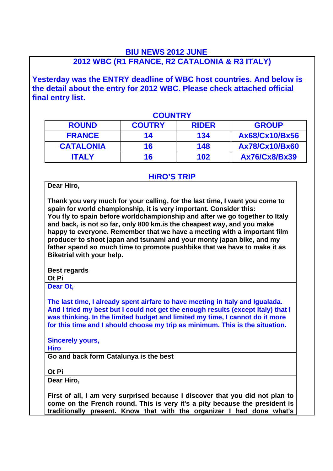## **BIU NEWS 2012 JUNE 2012 WBC (R1 FRANCE, R2 CATALONIA & R3 ITALY)**

**Yesterday was the ENTRY deadline of WBC host countries. And below is the detail about the entry for 2012 WBC. Please check attached official final entry list.**

| <b>COUNTRY</b>   |               |              |                       |  |
|------------------|---------------|--------------|-----------------------|--|
| <b>ROUND</b>     | <b>COUTRY</b> | <b>RIDER</b> | <b>GROUP</b>          |  |
| <b>FRANCE</b>    | 14            | 134          | Ax68/Cx10/Bx56        |  |
| <b>CATALONIA</b> | 16            | 148          | <b>Ax78/Cx10/Bx60</b> |  |
| <b>ITALY</b>     | 16            | 102          | Ax76/Cx8/Bx39         |  |

## **HiRO'S TRIP**

**Dear Hiro,**

**Thank you very much for your calling, for the last time, I want you come to spain for world championship, it is very important. Consider this: You fly to spain before worldchampionship and after we go together to Italy and back, is not so far, only 800 km.is the cheapest way, and you make happy to everyone. Remember that we have a meeting with a important film producer to shoot japan and tsunami and your monty japan bike, and my father spend so much time to promote pushbike that we have to make it as Biketrial with your help.**

**Best regards Ot Pi**

**Dear Ot,**

**The last time, I already spent airfare to have meeting in Italy and Igualada. And I tried my best but I could not get the enough results (except Italy) that I was thinking. In the limited budget and limited my time, I cannot do it more for this time and I should choose my trip as minimum. This is the situation.**

**Sincerely yours,**

**Hiro**

**Go and back form Catalunya is the best**

**Ot Pi**

**Dear Hiro,**

**First of all, I am very surprised because I discover that you did not plan to come on the French round. This is very it's a pity because the president is traditionally present. Know that with the organizer I had done what's**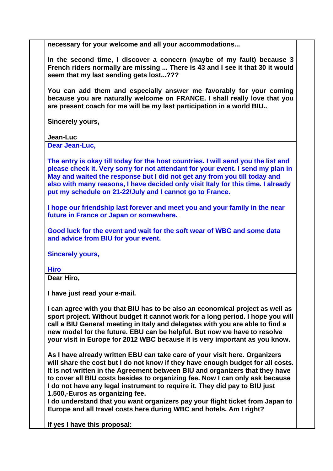**necessary for your welcome and all your accommodations...**

**In the second time, I discover a concern (maybe of my fault) because 3 French riders normally are missing ... There is 43 and I see it that 30 it would seem that my last sending gets lost...???** 

**You can add them and especially answer me favorably for your coming because you are naturally welcome on FRANCE. I shall really love that you are present coach for me will be my last participation in a world BIU..**

**Sincerely yours,**

**Jean-Luc**

**Dear Jean-Luc,**

**The entry is okay till today for the host countries. I will send you the list and please check it. Very sorry for not attendant for your event. I send my plan in May and waited the response but I did not get any from you till today and also with many reasons, I have decided only visit Italy for this time. I already put my schedule on 21-22/July and I cannot go to France.** 

**I hope our friendship last forever and meet you and your family in the near future in France or Japan or somewhere.**

**Good luck for the event and wait for the soft wear of WBC and some data and advice from BIU for your event.**

**Sincerely yours,**

**Hiro**

**Dear Hiro,**

**I have just read your e-mail.**

**I can agree with you that BIU has to be also an economical project as well as sport project. Without budget it cannot work for a long period. I hope you will call a BIU General meeting in Italy and delegates with you are able to find a new model for the future. EBU can be helpful. But now we have to resolve your visit in Europe for 2012 WBC because it is very important as you know.**

**As I have already written EBU can take care of your visit here. Organizers will share the cost but I do not know if they have enough budget for all costs. It is not written in the Agreement between BIU and organizers that they have to cover all BIU costs besides to organizing fee. Now I can only ask because I do not have any legal instrument to require it. They did pay to BIU just 1.500,-Euros as organizing fee.**

**I do understand that you want organizers pay your flight ticket from Japan to Europe and all travel costs here during WBC and hotels. Am I right?** 

**If yes I have this proposal:**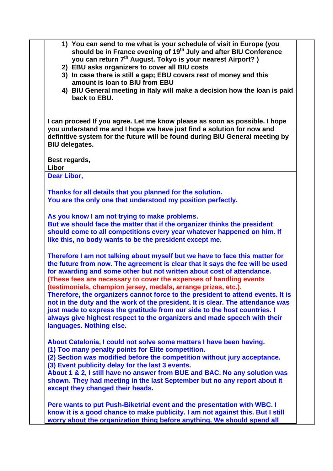| 1) You can send to me what is your schedule of visit in Europe (you<br>should be in France evening of 19 <sup>th</sup> July and after BIU Conference<br>you can return 7 <sup>th</sup> August. Tokyo is your nearest Airport?)<br>2) EBU asks organizers to cover all BIU costs<br>3) In case there is still a gap; EBU covers rest of money and this<br>amount is loan to BIU from EBU<br>4) BIU General meeting in Italy will make a decision how the loan is paid<br>back to EBU.                                                                                                                                                                                                                                                    |  |
|-----------------------------------------------------------------------------------------------------------------------------------------------------------------------------------------------------------------------------------------------------------------------------------------------------------------------------------------------------------------------------------------------------------------------------------------------------------------------------------------------------------------------------------------------------------------------------------------------------------------------------------------------------------------------------------------------------------------------------------------|--|
| I can proceed If you agree. Let me know please as soon as possible. I hope<br>you understand me and I hope we have just find a solution for now and<br>definitive system for the future will be found during BIU General meeting by<br><b>BIU delegates.</b>                                                                                                                                                                                                                                                                                                                                                                                                                                                                            |  |
| Best regards,<br>Libor                                                                                                                                                                                                                                                                                                                                                                                                                                                                                                                                                                                                                                                                                                                  |  |
| Dear Libor,                                                                                                                                                                                                                                                                                                                                                                                                                                                                                                                                                                                                                                                                                                                             |  |
| Thanks for all details that you planned for the solution.<br>You are the only one that understood my position perfectly.                                                                                                                                                                                                                                                                                                                                                                                                                                                                                                                                                                                                                |  |
| As you know I am not trying to make problems.<br>But we should face the matter that if the organizer thinks the president<br>should come to all competitions every year whatever happened on him. If<br>like this, no body wants to be the president except me.                                                                                                                                                                                                                                                                                                                                                                                                                                                                         |  |
| Therefore I am not talking about myself but we have to face this matter for<br>the future from now. The agreement is clear that it says the fee will be used<br>for awarding and some other but not written about cost of attendance.<br>(These fees are necessary to cover the expenses of handling events<br>(testimonials, champion jersey, medals, arrange prizes, etc.).<br>Therefore, the organizers cannot force to the president to attend events. It is<br>not in the duty and the work of the president. It is clear. The attendance was<br>just made to express the gratitude from our side to the host countries. I<br>always give highest respect to the organizers and made speech with their<br>languages. Nothing else. |  |
| About Catalonia, I could not solve some matters I have been having.<br>(1) Too many penalty points for Elite competition.<br>(2) Section was modified before the competition without jury acceptance.<br>(3) Event publicity delay for the last 3 events.<br>About 1 & 2, I still have no answer from BUE and BAC. No any solution was<br>shown. They had meeting in the last September but no any report about it<br>except they changed their heads.                                                                                                                                                                                                                                                                                  |  |
| Pere wants to put Push-Biketrial event and the presentation with WBC. I<br>know it is a good chance to make publicity. I am not against this. But I still<br>worry about the organization thing before anything. We should spend all                                                                                                                                                                                                                                                                                                                                                                                                                                                                                                    |  |